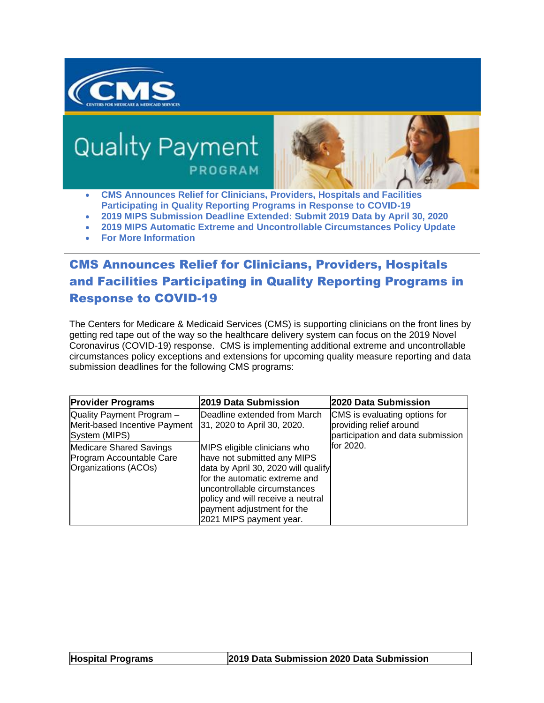

# **Quality Payment** PROGRAM



- **[CMS Announces Relief for Clinicians, Providers, Hospitals and Facilities](applewebdata://81FBB604-9A6E-417B-B3D3-CAD7C5735CA9/#link_1)  [Participating in Quality Reporting Programs in Response to COVID-19](applewebdata://81FBB604-9A6E-417B-B3D3-CAD7C5735CA9/#link_1)**
- **[2019 MIPS Submission Deadline Extended: Submit 2019 Data by April 30, 2020](applewebdata://81FBB604-9A6E-417B-B3D3-CAD7C5735CA9/#link_2)**
- **[2019 MIPS Automatic Extreme and Uncontrollable Circumstances Policy Update](applewebdata://81FBB604-9A6E-417B-B3D3-CAD7C5735CA9/#link_3)**
- **[For More Information](applewebdata://81FBB604-9A6E-417B-B3D3-CAD7C5735CA9/#link_4)**

## CMS Announces Relief for Clinicians, Providers, Hospitals and Facilities Participating in Quality Reporting Programs in Response to COVID-19

The Centers for Medicare & Medicaid Services (CMS) is supporting clinicians on the front lines by getting red tape out of the way so the healthcare delivery system can focus on the 2019 Novel Coronavirus (COVID-19) response. CMS is implementing additional extreme and uncontrollable circumstances policy exceptions and extensions for upcoming quality measure reporting and data submission deadlines for the following CMS programs:

| <b>Provider Programs</b>                                                           | 2019 Data Submission                                                                                                                                                                                                                                              | 2020 Data Submission                                                                          |
|------------------------------------------------------------------------------------|-------------------------------------------------------------------------------------------------------------------------------------------------------------------------------------------------------------------------------------------------------------------|-----------------------------------------------------------------------------------------------|
| Quality Payment Program -<br>Merit-based Incentive Payment<br>System (MIPS)        | lDeadline extended from March<br>31, 2020 to April 30, 2020.                                                                                                                                                                                                      | CMS is evaluating options for<br>providing relief around<br>participation and data submission |
| <b>Medicare Shared Savings</b><br>Program Accountable Care<br>Organizations (ACOs) | MIPS eligible clinicians who<br>have not submitted any MIPS<br>data by April 30, 2020 will qualify<br>for the automatic extreme and<br>uncontrollable circumstances<br>policy and will receive a neutral<br>payment adjustment for the<br>2021 MIPS payment year. | lfor 2020.                                                                                    |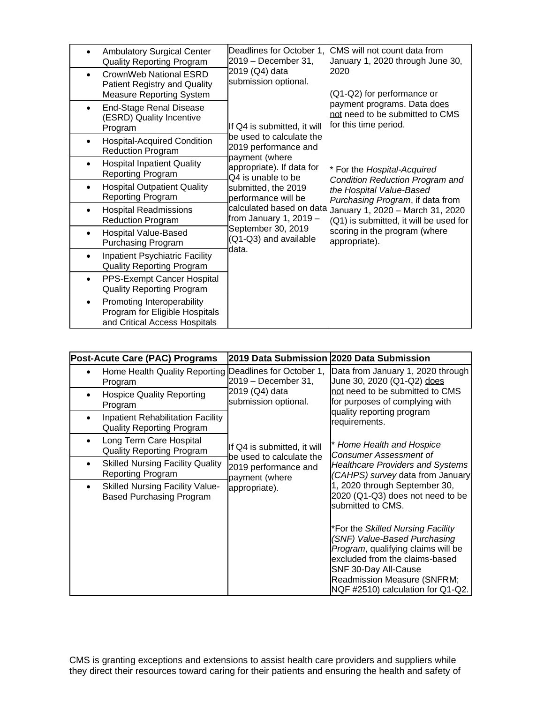| <b>Ambulatory Surgical Center</b><br><b>Quality Reporting Program</b><br>CrownWeb National ESRD<br>$\bullet$ | Deadlines for October 1,<br>2019 - December 31,<br>2019 (Q4) data<br>submission optional.<br>If Q4 is submitted, it will<br>be used to calculate the<br>2019 performance and<br>payment (where<br>appropriate). If data for<br>Q4 is unable to be<br>submitted, the 2019<br>performance will be<br>calculated based on data<br>from January 1, $2019 -$<br>September 30, 2019<br>(Q1-Q3) and available<br>data. | CMS will not count data from<br>January 1, 2020 through June 30,<br>2020                                                                                                                                                                                                                                                                                                                |
|--------------------------------------------------------------------------------------------------------------|-----------------------------------------------------------------------------------------------------------------------------------------------------------------------------------------------------------------------------------------------------------------------------------------------------------------------------------------------------------------------------------------------------------------|-----------------------------------------------------------------------------------------------------------------------------------------------------------------------------------------------------------------------------------------------------------------------------------------------------------------------------------------------------------------------------------------|
| <b>Patient Registry and Quality</b><br><b>Measure Reporting System</b>                                       |                                                                                                                                                                                                                                                                                                                                                                                                                 | (Q1-Q2) for performance or<br>payment programs. Data does<br>not need to be submitted to CMS<br>for this time period.<br>* For the Hospital-Acquired<br>Condition Reduction Program and<br>the Hospital Value-Based<br>Purchasing Program, if data from<br>January 1, 2020 - March 31, 2020<br>(Q1) is submitted, it will be used for<br>scoring in the program (where<br>appropriate). |
| <b>End-Stage Renal Disease</b><br>(ESRD) Quality Incentive<br>Program                                        |                                                                                                                                                                                                                                                                                                                                                                                                                 |                                                                                                                                                                                                                                                                                                                                                                                         |
| Hospital-Acquired Condition<br>$\bullet$<br><b>Reduction Program</b>                                         |                                                                                                                                                                                                                                                                                                                                                                                                                 |                                                                                                                                                                                                                                                                                                                                                                                         |
| <b>Hospital Inpatient Quality</b><br>$\bullet$<br><b>Reporting Program</b>                                   |                                                                                                                                                                                                                                                                                                                                                                                                                 |                                                                                                                                                                                                                                                                                                                                                                                         |
| <b>Hospital Outpatient Quality</b><br>$\bullet$<br>Reporting Program                                         |                                                                                                                                                                                                                                                                                                                                                                                                                 |                                                                                                                                                                                                                                                                                                                                                                                         |
| <b>Hospital Readmissions</b><br>$\bullet$<br><b>Reduction Program</b>                                        |                                                                                                                                                                                                                                                                                                                                                                                                                 |                                                                                                                                                                                                                                                                                                                                                                                         |
| <b>Hospital Value-Based</b><br>$\bullet$<br><b>Purchasing Program</b>                                        |                                                                                                                                                                                                                                                                                                                                                                                                                 |                                                                                                                                                                                                                                                                                                                                                                                         |
| Inpatient Psychiatric Facility<br><b>Quality Reporting Program</b>                                           |                                                                                                                                                                                                                                                                                                                                                                                                                 |                                                                                                                                                                                                                                                                                                                                                                                         |
| PPS-Exempt Cancer Hospital<br><b>Quality Reporting Program</b>                                               |                                                                                                                                                                                                                                                                                                                                                                                                                 |                                                                                                                                                                                                                                                                                                                                                                                         |
| Promoting Interoperability<br>٠<br>Program for Eligible Hospitals<br>and Critical Access Hospitals           |                                                                                                                                                                                                                                                                                                                                                                                                                 |                                                                                                                                                                                                                                                                                                                                                                                         |

| Post-Acute Care (PAC) Programs                                               | 2019 Data Submission  2020 Data Submission                                                                                                                   |                                                                                                                                                                                                                                                                                                                                                      |
|------------------------------------------------------------------------------|--------------------------------------------------------------------------------------------------------------------------------------------------------------|------------------------------------------------------------------------------------------------------------------------------------------------------------------------------------------------------------------------------------------------------------------------------------------------------------------------------------------------------|
| Home Health Quality Reporting Deadlines for October 1,<br>Program            | 2019 - December 31,                                                                                                                                          | Data from January 1, 2020 through<br>June 30, 2020 (Q1-Q2) does                                                                                                                                                                                                                                                                                      |
| <b>Hospice Quality Reporting</b><br>Program                                  | 2019 (Q4) data<br>submission optional.<br>If Q4 is submitted, it will<br>be used to calculate the<br>2019 performance and<br>payment (where<br>appropriate). | not need to be submitted to CMS<br>for purposes of complying with<br>quality reporting program<br>requirements.<br>Home Health and Hospice<br><b>Consumer Assessment of</b><br><b>Healthcare Providers and Systems</b><br>(CAHPS) survey data from January<br>1, 2020 through September 30,<br>2020 (Q1-Q3) does not need to be<br>submitted to CMS. |
| <b>Inpatient Rehabilitation Facility</b><br><b>Quality Reporting Program</b> |                                                                                                                                                              |                                                                                                                                                                                                                                                                                                                                                      |
| Long Term Care Hospital<br><b>Quality Reporting Program</b>                  |                                                                                                                                                              |                                                                                                                                                                                                                                                                                                                                                      |
| <b>Skilled Nursing Facility Quality</b><br><b>Reporting Program</b>          |                                                                                                                                                              |                                                                                                                                                                                                                                                                                                                                                      |
| <b>Skilled Nursing Facility Value-</b><br><b>Based Purchasing Program</b>    |                                                                                                                                                              |                                                                                                                                                                                                                                                                                                                                                      |
|                                                                              |                                                                                                                                                              | *For the Skilled Nursing Facility<br>(SNF) Value-Based Purchasing<br>Program, qualifying claims will be<br>excluded from the claims-based<br>SNF 30-Day All-Cause<br><b>Readmission Measure (SNFRM;</b><br>NQF #2510) calculation for Q1-Q2.                                                                                                         |